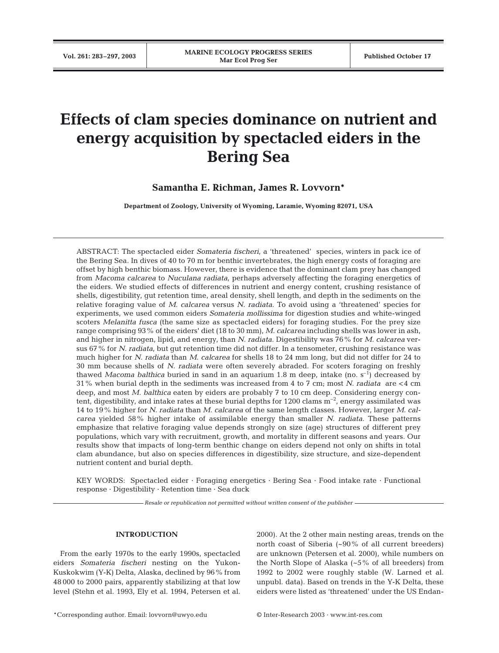# **Effects of clam species dominance on nutrient and energy acquisition by spectacled eiders in the Bering Sea**

**Samantha E. Richman, James R. Lovvorn\***

**Department of Zoology, University of Wyoming, Laramie, Wyoming 82071, USA**

ABSTRACT: The spectacled eider *Somateria fischeri*, a 'threatened' species, winters in pack ice of the Bering Sea. In dives of 40 to 70 m for benthic invertebrates, the high energy costs of foraging are offset by high benthic biomass. However, there is evidence that the dominant clam prey has changed from *Macoma calcarea* to *Nuculana radiata*, perhaps adversely affecting the foraging energetics of the eiders. We studied effects of differences in nutrient and energy content, crushing resistance of shells, digestibility, gut retention time, areal density, shell length, and depth in the sediments on the relative foraging value of *M. calcarea* versus *N. radiata*. To avoid using a 'threatened' species for experiments, we used common eiders *Somateria mollissima* for digestion studies and white-winged scoters *Melanitta fusca* (the same size as spectacled eiders) for foraging studies. For the prey size range comprising 93% of the eiders' diet (18 to 30 mm), *M. calcarea* including shells was lower in ash, and higher in nitrogen, lipid, and energy, than *N. radiata*. Digestibility was 76% for *M. calcarea* versus 67% for *N. radiata*, but gut retention time did not differ. In a tensometer, crushing resistance was much higher for *N. radiata* than *M. calcarea* for shells 18 to 24 mm long, but did not differ for 24 to 30 mm because shells of *N. radiata* were often severely abraded. For scoters foraging on freshly thawed *Macoma balthica* buried in sand in an aquarium 1.8 m deep, intake (no.  $s^{-1}$ ) decreased by 31% when burial depth in the sediments was increased from 4 to 7 cm; most *N. radiata* are <4 cm deep, and most *M. balthica* eaten by eiders are probably 7 to 10 cm deep. Considering energy content, digestibility, and intake rates at these burial depths for 1200 clams  $m^{-2}$ , energy assimilated was 14 to 19% higher for *N. radiata* than *M. calcarea* of the same length classes. However, larger *M. calcarea* yielded 58% higher intake of assimilable energy than smaller *N. radiata*. These patterns emphasize that relative foraging value depends strongly on size (age) structures of different prey populations, which vary with recruitment, growth, and mortality in different seasons and years. Our results show that impacts of long-term benthic change on eiders depend not only on shifts in total clam abundance, but also on species differences in digestibility, size structure, and size-dependent nutrient content and burial depth.

KEY WORDS: Spectacled eider · Foraging energetics · Bering Sea · Food intake rate · Functional response · Digestibility · Retention time · Sea duck

*Resale or republication not permitted without written consent of the publisher*

# **INTRODUCTION**

From the early 1970s to the early 1990s, spectacled eiders *Somateria fischeri* nesting on the Yukon-Kuskokwim (Y-K) Delta, Alaska, declined by 96% from 48 000 to 2000 pairs, apparently stabilizing at that low level (Stehn et al. 1993, Ely et al. 1994, Petersen et al.

2000). At the 2 other main nesting areas, trends on the north coast of Siberia (~90% of all current breeders) are unknown (Petersen et al. 2000), while numbers on the North Slope of Alaska (~5% of all breeders) from 1992 to 2002 were roughly stable (W. Larned et al. unpubl. data). Based on trends in the Y-K Delta, these eiders were listed as 'threatened' under the US Endan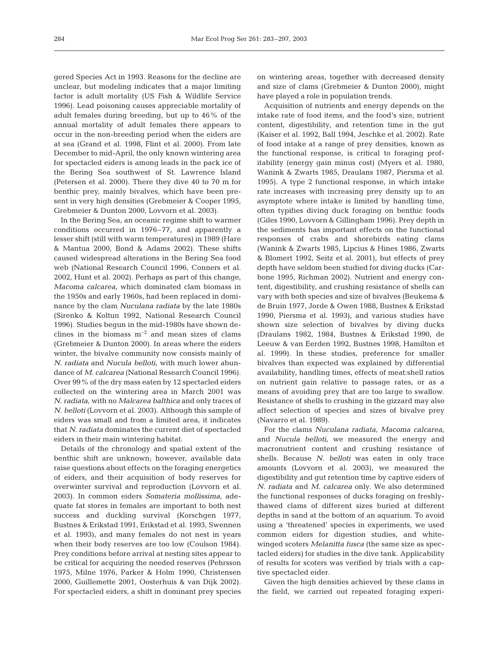gered Species Act in 1993. Reasons for the decline are unclear, but modeling indicates that a major limiting factor is adult mortality (US Fish & Wildlife Service 1996). Lead poisoning causes appreciable mortality of adult females during breeding, but up to 46% of the annual mortality of adult females there appears to occur in the non-breeding period when the eiders are at sea (Grand et al. 1998, Flint et al. 2000). From late December to mid-April, the only known wintering area for spectacled eiders is among leads in the pack ice of the Bering Sea southwest of St. Lawrence Island (Petersen et al. 2000). There they dive 40 to 70 m for benthic prey, mainly bivalves, which have been present in very high densities (Grebmeier & Cooper 1995, Grebmeier & Dunton 2000, Lovvorn et al. 2003).

In the Bering Sea, an oceanic regime shift to warmer conditions occurred in 1976–77, and apparently a lesser shift (still with warm temperatures) in 1989 (Hare & Mantua 2000, Bond & Adams 2002). These shifts caused widespread alterations in the Bering Sea food web (National Research Council 1996, Conners et al. 2002, Hunt et al. 2002). Perhaps as part of this change, *Macoma calcarea*, which dominated clam biomass in the 1950s and early 1960s, had been replaced in dominance by the clam *Nuculana radiata* by the late 1980s (Sirenko & Koltun 1992, National Research Council 1996). Studies begun in the mid-1980s have shown declines in the biomass  $m^{-2}$  and mean sizes of clams (Grebmeier & Dunton 2000). In areas where the eiders winter, the bivalve community now consists mainly of *N. radiata* and *Nucula belloti*, with much lower abundance of *M. calcarea* (National Research Council 1996). Over 99% of the dry mass eaten by 12 spectacled eiders collected on the wintering area in March 2001 was *N. radiata*, with no *Malcarea balthica* and only traces of *N. belloti* (Lovvorn et al. 2003). Although this sample of eiders was small and from a limited area, it indicates that *N. radiata* dominates the current diet of spectacled eiders in their main wintering habitat.

Details of the chronology and spatial extent of the benthic shift are unknown; however, available data raise questions about effects on the foraging energetics of eiders, and their acquisition of body reserves for overwinter survival and reproduction (Lovvorn et al. 2003). In common eiders *Somateria mollissima*, adequate fat stores in females are important to both nest success and duckling survival (Korschgen 1977, Bustnes & Erikstad 1991, Erikstad et al. 1993, Swennen et al. 1993), and many females do not nest in years when their body reserves are too low (Coulson 1984). Prey conditions before arrival at nesting sites appear to be critical for acquiring the needed reserves (Pehrsson 1975, Milne 1976, Parker & Holm 1990, Christensen 2000, Guillemette 2001, Oosterhuis & van Dijk 2002). For spectacled eiders, a shift in dominant prey species on wintering areas, together with decreased density and size of clams (Grebmeier & Dunton 2000), might have played a role in population trends.

Acquisition of nutrients and energy depends on the intake rate of food items, and the food's size, nutrient content, digestibility, and retention time in the gut (Kaiser et al. 1992, Ball 1994, Jeschke et al. 2002). Rate of food intake at a range of prey densities, known as the functional response, is critical to foraging profitability (energy gain minus cost) (Myers et al. 1980, Wanink & Zwarts 1985, Draulans 1987, Piersma et al. 1995). A type 2 functional response, in which intake rate increases with increasing prey density up to an asymptote where intake is limited by handling time, often typifies diving duck foraging on benthic foods (Giles 1990, Lovvorn & Gillingham 1996). Prey depth in the sediments has important effects on the functional responses of crabs and shorebirds eating clams (Wanink & Zwarts 1985, Lipcius & Hines 1986, Zwarts & Blomert 1992, Seitz et al. 2001), but effects of prey depth have seldom been studied for diving ducks (Carbone 1995, Richman 2002). Nutrient and energy content, digestibility, and crushing resistance of shells can vary with both species and size of bivalves (Beukema & de Bruin 1977, Jorde & Owen 1988, Bustnes & Erikstad 1990, Piersma et al. 1993), and various studies have shown size selection of bivalves by diving ducks (Draulans 1982, 1984, Bustnes & Erikstad 1990, de Leeuw & van Eerden 1992, Bustnes 1998, Hamilton et al. 1999). In these studies, preference for smaller bivalves than expected was explained by differential availability, handling times, effects of meat:shell ratios on nutrient gain relative to passage rates, or as a means of avoiding prey that are too large to swallow. Resistance of shells to crushing in the gizzard may also affect selection of species and sizes of bivalve prey (Navarro et al. 1989).

For the clams *Nuculana radiata, Macoma calcarea*, and *Nucula belloti*, we measured the energy and macronutrient content and crushing resistance of shells. Because *N. belloti* was eaten in only trace amounts (Lovvorn et al. 2003), we measured the digestibility and gut retention time by captive eiders of *N. radiata* and *M. calcarea* only. We also determined the functional responses of ducks foraging on freshlythawed clams of different sizes buried at different depths in sand at the bottom of an aquarium. To avoid using a 'threatened' species in experiments, we used common eiders for digestion studies, and whitewinged scoters *Melanitta fusca* (the same size as spectacled eiders) for studies in the dive tank. Applicability of results for scoters was verified by trials with a captive spectacled eider.

Given the high densities achieved by these clams in the field, we carried out repeated foraging experi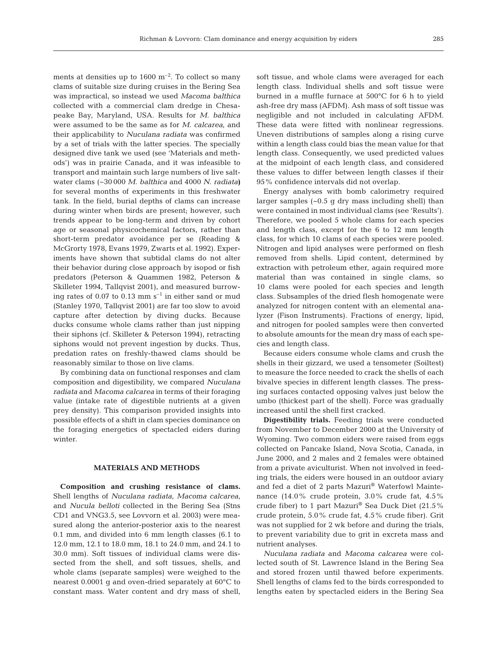ments at densities up to  $1600 \text{ m}^{-2}$ . To collect so many clams of suitable size during cruises in the Bering Sea was impractical, so instead we used *Macoma balthica* collected with a commercial clam dredge in Chesapeake Bay, Maryland, USA. Results for *M. balthica* were assumed to be the same as for *M. calcarea*, and their applicability to *Nuculana radiata* was confirmed by a set of trials with the latter species. The specially designed dive tank we used (see 'Materials and methods') was in prairie Canada, and it was infeasible to transport and maintain such large numbers of live saltwater clams (~30 000 *M. balthica* and 4000 *N. radiata***)** for several months of experiments in this freshwater tank. In the field, burial depths of clams can increase during winter when birds are present; however, such trends appear to be long-term and driven by cohort age or seasonal physicochemical factors, rather than short-term predator avoidance per se (Reading & McGrorty 1978, Evans 1979, Zwarts et al. 1992). Experiments have shown that subtidal clams do not alter their behavior during close approach by isopod or fish predators (Peterson & Quammen 1982, Peterson & Skilleter 1994, Tallqvist 2001), and measured burrowing rates of 0.07 to 0.13 mm  $s^{-1}$  in either sand or mud (Stanley 1970, Tallqvist 2001) are far too slow to avoid capture after detection by diving ducks. Because ducks consume whole clams rather than just nipping their siphons (cf. Skilleter & Peterson 1994), retracting siphons would not prevent ingestion by ducks. Thus, predation rates on freshly-thawed clams should be reasonably similar to those on live clams.

By combining data on functional responses and clam composition and digestibility, we compared *Nuculana radiata* and *Macoma calcarea* in terms of their foraging value (intake rate of digestible nutrients at a given prey density). This comparison provided insights into possible effects of a shift in clam species dominance on the foraging energetics of spectacled eiders during winter.

## **MATERIALS AND METHODS**

**Composition and crushing resistance of clams.** Shell lengths of *Nuculana radiata*, *Macoma calcarea,* and *Nucula belloti* collected in the Bering Sea (Stns CD1 and VNG3.5, see Lovvorn et al. 2003) were measured along the anterior-posterior axis to the nearest 0.1 mm, and divided into 6 mm length classes (6.1 to 12.0 mm, 12.1 to 18.0 mm, 18.1 to 24.0 mm, and 24.1 to 30.0 mm). Soft tissues of individual clams were dissected from the shell, and soft tissues, shells, and whole clams (separate samples) were weighed to the nearest 0.0001 g and oven-dried separately at 60°C to constant mass. Water content and dry mass of shell,

soft tissue, and whole clams were averaged for each length class. Individual shells and soft tissue were burned in a muffle furnace at 500°C for 6 h to yield ash-free dry mass (AFDM). Ash mass of soft tissue was negligible and not included in calculating AFDM. These data were fitted with nonlinear regressions. Uneven distributions of samples along a rising curve within a length class could bias the mean value for that length class. Consequently, we used predicted values at the midpoint of each length class, and considered these values to differ between length classes if their 95% confidence intervals did not overlap.

Energy analyses with bomb calorimetry required larger samples (~0.5 g dry mass including shell) than were contained in most individual clams (see 'Results'). Therefore, we pooled 5 whole clams for each species and length class, except for the 6 to 12 mm length class, for which 10 clams of each species were pooled. Nitrogen and lipid analyses were performed on flesh removed from shells. Lipid content, determined by extraction with petroleum ether, again required more material than was contained in single clams, so 10 clams were pooled for each species and length class. Subsamples of the dried flesh homogenate were analyzed for nitrogen content with an elemental analyzer (Fison Instruments). Fractions of energy, lipid, and nitrogen for pooled samples were then converted to absolute amounts for the mean dry mass of each species and length class.

Because eiders consume whole clams and crush the shells in their gizzard, we used a tensometer (Soiltest) to measure the force needed to crack the shells of each bivalve species in different length classes. The pressing surfaces contacted opposing valves just below the umbo (thickest part of the shell). Force was gradually increased until the shell first cracked.

**Digestibility trials.** Feeding trials were conducted from November to December 2000 at the University of Wyoming. Two common eiders were raised from eggs collected on Pancake Island, Nova Scotia, Canada, in June 2000, and 2 males and 2 females were obtained from a private aviculturist. When not involved in feeding trials, the eiders were housed in an outdoor aviary and fed a diet of 2 parts Mazuri® Waterfowl Maintenance (14.0% crude protein, 3.0% crude fat, 4.5% crude fiber) to 1 part Mazuri® Sea Duck Diet (21.5% crude protein, 5.0% crude fat, 4.5% crude fiber). Grit was not supplied for 2 wk before and during the trials, to prevent variability due to grit in excreta mass and nutrient analyses.

*Nuculana radiata* and *Macoma calcarea* were collected south of St. Lawrence Island in the Bering Sea and stored frozen until thawed before experiments. Shell lengths of clams fed to the birds corresponded to lengths eaten by spectacled eiders in the Bering Sea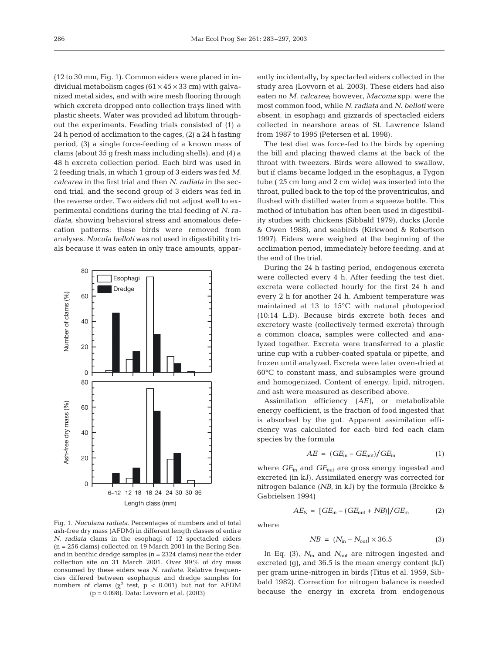(12 to 30 mm, Fig. 1). Common eiders were placed in individual metabolism cages ( $61 \times 45 \times 33$  cm) with galvanized metal sides, and with wire mesh flooring through which excreta dropped onto collection trays lined with plastic sheets. Water was provided ad libitum throughout the experiments. Feeding trials consisted of (1) a 24 h period of acclimation to the cages, (2) a 24 h fasting period, (3) a single force-feeding of a known mass of clams (about 35 g fresh mass including shells), and (4) a 48 h excreta collection period. Each bird was used in 2 feeding trials, in which 1 group of 3 eiders was fed *M. calcarea* in the first trial and then *N. radiata* in the second trial, and the second group of 3 eiders was fed in the reverse order. Two eiders did not adjust well to experimental conditions during the trial feeding of *N. radiata*, showing behavioral stress and anomalous defecation patterns; these birds were removed from analyses. *Nucula belloti* was not used in digestibility trials because it was eaten in only trace amounts, appar-



Fig. 1. *Nuculana radiata.* Percentages of numbers and of total ash-free dry mass (AFDM) in different length classes of entire *N. radiata* clams in the esophagi of 12 spectacled eiders  $(n = 256 \text{ clams})$  collected on 19 March 2001 in the Bering Sea, and in benthic dredge samples  $(n = 2324 \text{ clams})$  near the eider collection site on 31 March 2001. Over 99% of dry mass consumed by these eiders was *N. radiata*. Relative frequencies differed between esophagus and dredge samples for numbers of clams ( $χ²$  test,  $p < 0.001$ ) but not for AFDM (p = 0.098). Data: Lovvorn et al. (2003)

ently incidentally, by spectacled eiders collected in the study area (Lovvorn et al. 2003). These eiders had also eaten no *M. calcarea*; however, *Macoma* spp. were the most common food, while *N. radiata* and *N. belloti* were absent, in esophagi and gizzards of spectacled eiders collected in nearshore areas of St. Lawrence Island from 1987 to 1995 (Petersen et al. 1998).

The test diet was force-fed to the birds by opening the bill and placing thawed clams at the back of the throat with tweezers. Birds were allowed to swallow, but if clams became lodged in the esophagus, a Tygon tube ( 25 cm long and 2 cm wide) was inserted into the throat, pulled back to the top of the proventriculus, and flushed with distilled water from a squeeze bottle. This method of intubation has often been used in digestibility studies with chickens (Sibbald 1979), ducks (Jorde & Owen 1988), and seabirds (Kirkwood & Robertson 1997). Eiders were weighed at the beginning of the acclimation period, immediately before feeding, and at the end of the trial.

During the 24 h fasting period, endogenous excreta were collected every 4 h. After feeding the test diet, excreta were collected hourly for the first 24 h and every 2 h for another 24 h. Ambient temperature was maintained at 13 to 15°C with natural photoperiod (10:14 L:D). Because birds excrete both feces and excretory waste (collectively termed excreta) through a common cloaca, samples were collected and analyzed together. Excreta were transferred to a plastic urine cup with a rubber-coated spatula or pipette, and frozen until analyzed. Excreta were later oven-dried at 60°C to constant mass, and subsamples were ground and homogenized. Content of energy, lipid, nitrogen, and ash were measured as described above.

Assimilation efficiency (*AE)*, or metabolizable energy coefficient, is the fraction of food ingested that is absorbed by the gut. Apparent assimilation efficiency was calculated for each bird fed each clam species by the formula

$$
AE = (GEin - GEout)/GEin
$$
 (1)

where *GE*in and *GE*out are gross energy ingested and excreted (in kJ). Assimilated energy was corrected for nitrogen balance (*NB,* in kJ) by the formula (Brekke & Gabrielsen 1994)

$$
AE_N = [GE_{\rm in} - (GE_{\rm out} + NB)]/GE_{\rm in} \tag{2}
$$

where

$$
NB = (N_{\rm in} - N_{\rm out}) \times 36.5 \tag{3}
$$

In Eq. (3),  $N_{\text{in}}$  and  $N_{\text{out}}$  are nitrogen ingested and excreted (g), and 36.5 is the mean energy content (kJ) per gram urine-nitrogen in birds (Titus et al. 1959, Sibbald 1982). Correction for nitrogen balance is needed because the energy in excreta from endogenous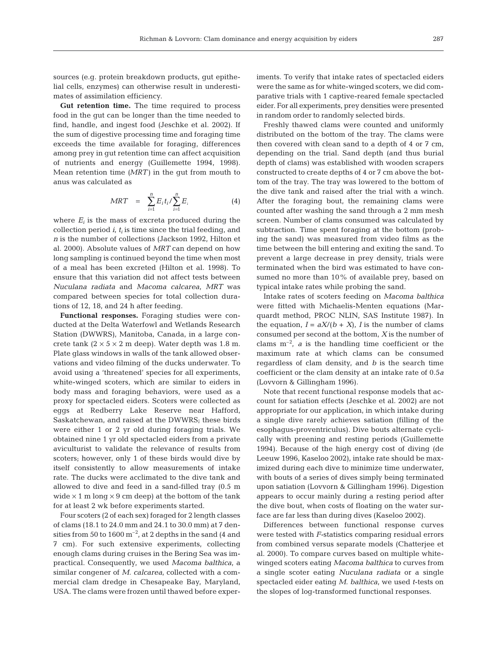sources (e.g. protein breakdown products, gut epithelial cells, enzymes) can otherwise result in underestimates of assimilation efficiency.

**Gut retention time.** The time required to process food in the gut can be longer than the time needed to find, handle, and ingest food (Jeschke et al. 2002). If the sum of digestive processing time and foraging time exceeds the time available for foraging, differences among prey in gut retention time can affect acquisition of nutrients and energy (Guillemette 1994, 1998). Mean retention time *(MRT)* in the gut from mouth to anus was calculated as

$$
MRT = \sum_{i=1}^{n} E_i t_i / \sum_{i=1}^{n} E_i
$$
 (4)

where  $E_i$  is the mass of excreta produced during the collection period  $i$ ,  $t_i$  is time since the trial feeding, and *n* is the number of collections (Jackson 1992, Hilton et al. 2000). Absolute values of *MRT* can depend on how long sampling is continued beyond the time when most of a meal has been excreted (Hilton et al. 1998). To ensure that this variation did not affect tests between *Nuculana radiata* and *Macoma calcarea*, *MRT* was compared between species for total collection durations of 12, 18, and 24 h after feeding.

**Functional responses.** Foraging studies were conducted at the Delta Waterfowl and Wetlands Research Station (DWWRS), Manitoba, Canada, in a large concrete tank  $(2 \times 5 \times 2 \text{ m}$  deep). Water depth was 1.8 m. Plate glass windows in walls of the tank allowed observations and video filming of the ducks underwater. To avoid using a 'threatened' species for all experiments, white-winged scoters, which are similar to eiders in body mass and foraging behaviors, were used as a proxy for spectacled eiders. Scoters were collected as eggs at Redberry Lake Reserve near Hafford, Saskatchewan, and raised at the DWWRS; these birds were either 1 or 2 yr old during foraging trials. We obtained nine 1 yr old spectacled eiders from a private aviculturist to validate the relevance of results from scoters; however, only 1 of these birds would dive by itself consistently to allow measurements of intake rate. The ducks were acclimated to the dive tank and allowed to dive and feed in a sand-filled tray (0.5 m wide  $\times$  1 m long  $\times$  9 cm deep) at the bottom of the tank for at least 2 wk before experiments started.

Four scoters (2 of each sex) foraged for 2 length classes of clams (18.1 to 24.0 mm and 24.1 to 30.0 mm) at 7 densities from 50 to  $1600 \text{ m}^{-2}$ , at 2 depths in the sand (4 and 7 cm). For such extensive experiments, collecting enough clams during cruises in the Bering Sea was impractical. Consequently, we used *Macoma balthica*, a similar congener of *M. calcarea*, collected with a commercial clam dredge in Chesapeake Bay, Maryland, USA. The clams were frozen until thawed before experiments. To verify that intake rates of spectacled eiders were the same as for white-winged scoters, we did comparative trials with 1 captive-reared female spectacled eider. For all experiments, prey densities were presented in random order to randomly selected birds.

Freshly thawed clams were counted and uniformly distributed on the bottom of the tray. The clams were then covered with clean sand to a depth of 4 or 7 cm, depending on the trial. Sand depth (and thus burial depth of clams) was established with wooden scrapers constructed to create depths of 4 or 7 cm above the bottom of the tray. The tray was lowered to the bottom of the dive tank and raised after the trial with a winch. After the foraging bout, the remaining clams were counted after washing the sand through a 2 mm mesh screen. Number of clams consumed was calculated by subtraction. Time spent foraging at the bottom (probing the sand) was measured from video films as the time between the bill entering and exiting the sand. To prevent a large decrease in prey density, trials were terminated when the bird was estimated to have consumed no more than 10% of available prey, based on typical intake rates while probing the sand.

Intake rates of scoters feeding on *Macoma balthica* were fitted with Michaelis-Menten equations (Marquardt method, PROC NLIN, SAS Institute 1987). In the equation,  $I = aX/(b + X)$ , *I* is the number of clams consumed per second at the bottom, *X* is the number of clams  $m^{-2}$ , *a* is the handling time coefficient or the maximum rate at which clams can be consumed regardless of clam density, and *b* is the search time coefficient or the clam density at an intake rate of 0.5*a* (Lovvorn & Gillingham 1996).

Note that recent functional response models that account for satiation effects (Jeschke et al. 2002) are not appropriate for our application, in which intake during a single dive rarely achieves satiation (filling of the esophagus-proventriculus). Dive bouts alternate cyclically with preening and resting periods (Guillemette 1994). Because of the high energy cost of diving (de Leeuw 1996, Kaseloo 2002), intake rate should be maximized during each dive to minimize time underwater, with bouts of a series of dives simply being terminated upon satiation (Lovvorn & Gillingham 1996). Digestion appears to occur mainly during a resting period after the dive bout, when costs of floating on the water surface are far less than during dives (Kaseloo 2002).

Differences between functional response curves were tested with *F-*statistics comparing residual errors from combined versus separate models (Chatterjee et al. 2000). To compare curves based on multiple whitewinged scoters eating *Macoma balthica* to curves from a single scoter eating *Nuculana radiata* or a single spectacled eider eating *M. balthica*, we used *t*-tests on the slopes of log-transformed functional responses.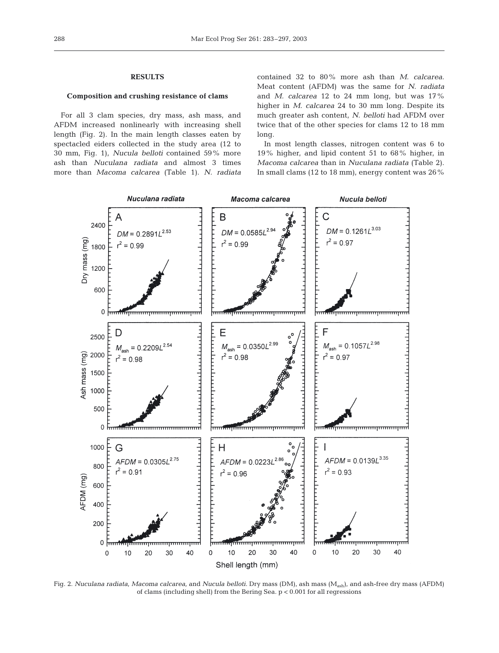#### **RESULTS**

## **Composition and crushing resistance of clams**

For all 3 clam species, dry mass, ash mass, and AFDM increased nonlinearly with increasing shell length (Fig. 2). In the main length classes eaten by spectacled eiders collected in the study area (12 to 30 mm, Fig. 1), *Nucula belloti* contained 59% more ash than *Nuculana radiata* and almost 3 times more than *Macoma calcarea* (Table 1). *N. radiata*

contained 32 to 80% more ash than *M. calcarea*. Meat content (AFDM) was the same for *N. radiata* and *M. calcarea* 12 to 24 mm long, but was 17% higher in *M. calcarea* 24 to 30 mm long. Despite its much greater ash content, *N. belloti* had AFDM over twice that of the other species for clams 12 to 18 mm long.

In most length classes, nitrogen content was 6 to 19% higher, and lipid content 51 to 68% higher, in *Macoma calcarea* than in *Nuculana radiata* (Table 2). In small clams (12 to 18 mm), energy content was 26%



Fig. 2. *Nuculana radiata*, *Macoma calcarea*, and *Nucula belloti.* Dry mass (DM), ash mass (Mash), and ash-free dry mass (AFDM) of clams (including shell) from the Bering Sea. p < 0.001 for all regressions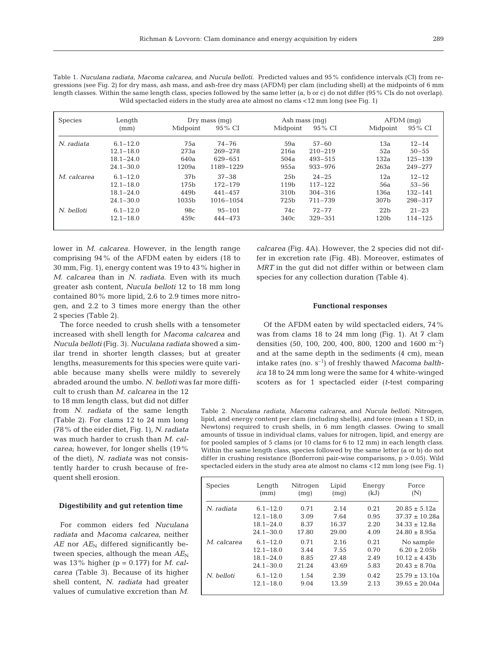289

Table 1. *Nuculana radiata*, *Macoma calcarea*, and *Nucula belloti*. Predicted values and 95% confidence intervals (CI) from regressions (see Fig. 2) for dry mass, ash mass, and ash-free dry mass (AFDM) per clam (including shell) at the midpoints of 6 mm length classes. Within the same length class, species followed by the same letter (a, b or c) do not differ (95% CIs do not overlap). Wild spectacled eiders in the study area ate almost no clams <12 mm long (see Fig. 1)

| <b>Species</b> | Length        |                   | $Dry$ mass $(mq)$ |                  | Ash mass (mq) |                  | $AFDM$ (mq) |  |
|----------------|---------------|-------------------|-------------------|------------------|---------------|------------------|-------------|--|
|                | (mm)          | Midpoint          | 95 % CI           | Midpoint         | 95 % CI       | Midpoint         | 95 % CI     |  |
| N. radiata     | $6.1 - 12.0$  | 75a               | $74 - 76$         | 59a              | $57 - 60$     | 13a              | $12 - 14$   |  |
|                | $12.1 - 18.0$ | 273a              | $269 - 278$       | 216a             | $210 - 219$   | 52a              | $50 - 55$   |  |
|                | $18.1 - 24.0$ | 640a              | 629-651           | 504a             | $493 - 515$   | 132a             | $125 - 139$ |  |
|                | $24.1 - 30.0$ | 1209a             | 1189-1229         | 955a             | $933 - 976$   | 263a             | $249 - 277$ |  |
| M. calcarea    | $6.1 - 12.0$  | 37 <sub>b</sub>   | $37 - 38$         | 25 <sub>b</sub>  | $24 - 25$     | 12a              | $12 - 12$   |  |
|                | $12.1 - 18.0$ | 175 <sub>b</sub>  | 172-179           | 119 <sub>b</sub> | $117 - 122$   | 56a              | $53 - 56$   |  |
|                | $18.1 - 24.0$ | 449b              | $441 - 457$       | 310 <sub>b</sub> | $304 - 316$   | 136a             | $132 - 141$ |  |
|                | $24.1 - 30.0$ | 1035 <sub>b</sub> | $1016 - 1054$     | 725 <sub>b</sub> | $711 - 739$   | 307b             | $298 - 317$ |  |
| N. belloti     | $6.1 - 12.0$  | 98c               | $95 - 101$        | 74c              | $72 - 77$     | 22 <sub>b</sub>  | $21 - 23$   |  |
|                | $12.1 - 18.0$ | 459c              | $444 - 473$       | 340c             | $329 - 351$   | 120 <sub>b</sub> | $114 - 125$ |  |

lower in *M. calcarea*. However, in the length range comprising 94% of the AFDM eaten by eiders (18 to 30 mm, Fig. 1), energy content was 19 to 43% higher in *M. calcarea* than in *N. radiata*. Even with its much greater ash content, *Nucula belloti* 12 to 18 mm long contained 80% more lipid, 2.6 to 2.9 times more nitrogen, and 2.2 to 3 times more energy than the other 2 species (Table 2).

The force needed to crush shells with a tensometer increased with shell length for *Macoma calcarea* and *Nucula belloti* (Fig. 3). *Nuculana radiata* showed a similar trend in shorter length classes; but at greater lengths, measurements for this species were quite variable because many shells were mildly to severely abraded around the umbo. *N. belloti* was far more diffi-

cult to crush than *M. calcarea* in the 12 to 18 mm length class, but did not differ from *N. radiata* of the same length (Table 2). For clams 12 to 24 mm long (78% of the eider diet, Fig. 1), *N. radiata* was much harder to crush than *M. calcarea*; however, for longer shells (19% of the diet), *N. radiata* was not consistently harder to crush because of frequent shell erosion.

## **Digestibility and gut retention time**

For common eiders fed *Nuculana radiata* and *Macoma calcarea*, neither  $AE$  nor  $AE_N$  differed significantly between species, although the mean  $AE_N$ was 13% higher (p = 0.177) for *M. calcarea* (Table 3). Because of its higher shell content, *N. radiata* had greater values of cumulative excretion than *M.*

*calcarea* (Fig. 4A). However, the 2 species did not differ in excretion rate (Fig. 4B). Moreover, estimates of *MRT* in the gut did not differ within or between clam species for any collection duration (Table 4).

#### **Functional responses**

Of the AFDM eaten by wild spectacled eiders, 74% was from clams 18 to 24 mm long (Fig. 1). At 7 clam densities (50, 100, 200, 400, 800, 1200 and 1600  $\text{m}^{-2}$ ) and at the same depth in the sediments (4 cm), mean intake rates (no. s–1) of freshly thawed *Macoma balthica* 18 to 24 mm long were the same for 4 white-winged scoters as for 1 spectacled eider (*t*-test comparing

Table 2. *Nuculana radiata, Macoma calcarea,* and *Nucula belloti*. Nitrogen, lipid, and energy content per clam (including shells), and force (mean ± 1 SD, in Newtons) required to crush shells, in 6 mm length classes. Owing to small amounts of tissue in individual clams, values for nitrogen, lipid, and energy are for pooled samples of 5 clams (or 10 clams for 6 to 12 mm) in each length class. Within the same length class, species followed by the same letter (a or b) do not differ in crushing resistance (Bonferroni pair-wise comparisons, p > 0.05). Wild spectacled eiders in the study area ate almost no clams <12 mm long (see Fig. 1)

| <b>Species</b> | Length        | Nitrogen | Lipid | Energy | Force              |
|----------------|---------------|----------|-------|--------|--------------------|
|                | (mm)          | (mq)     | (mq)  | (kJ)   | (N)                |
| N. radiata     | $6.1 - 12.0$  | 0.71     | 2.14  | 0.21   | $20.85 + 5.12a$    |
|                | $12.1 - 18.0$ | 3.09     | 7.64  | 0.95   | $37.37 \pm 10.28a$ |
|                | $18.1 - 24.0$ | 8.37     | 16.37 | 2.20   | $34.33 \pm 12.8a$  |
|                | $24.1 - 30.0$ | 17.80    | 29.00 | 4.09   | $24.80 + 8.95a$    |
| M. calcarea    | $6.1 - 12.0$  | 0.71     | 2.16  | 0.21   | No sample          |
|                | $12.1 - 18.0$ | 3.44     | 7.55  | 0.70   | $6.20 \pm 2.05$    |
|                | $18.1 - 24.0$ | 8.85     | 27.48 | 2.49   | $10.12 \pm 4.43$   |
|                | $24.1 - 30.0$ | 21.24    | 43.69 | 5.83   | $20.43 \pm 8.70a$  |
| N. belloti     | $6.1 - 12.0$  | 1.54     | 2.39  | 0.42   | $25.79 \pm 13.10a$ |
|                | $12.1 - 18.0$ | 9.04     | 13.59 | 2.13   | $39.65 + 20.04a$   |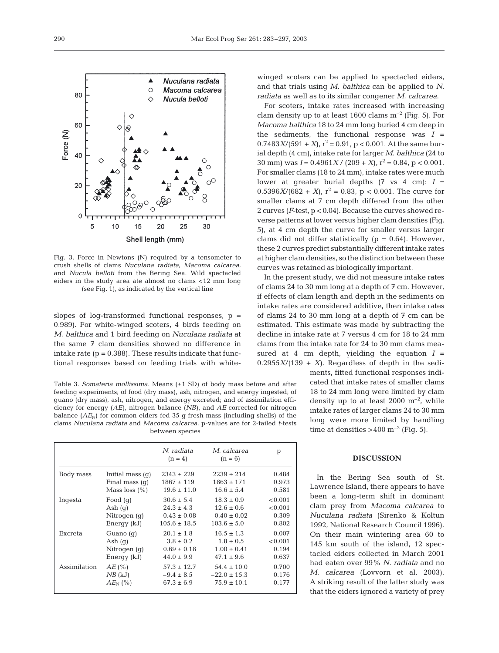

Fig. 3. Force in Newtons (N) required by a tensometer to crush shells of clams *Nuculana radiata*, *Macoma calcarea,* and *Nucula belloti* from the Bering Sea. Wild spectacled eiders in the study area ate almost no clams <12 mm long (see Fig. 1), as indicated by the vertical line

slopes of log-transformed functional responses,  $p =$ 0.989). For white-winged scoters, 4 birds feeding on *M. balthica* and 1 bird feeding on *Nuculana radiata* at the same 7 clam densities showed no difference in intake rate  $(p = 0.388)$ . These results indicate that functional responses based on feeding trials with white-

Table 3. *Somateria mollissima.* Means (±1 SD) of body mass before and after feeding experiments; of food (dry mass), ash, nitrogen, and energy ingested; of guano (dry mass), ash, nitrogen, and energy excreted; and of assimilation efficiency for energy (*AE*), nitrogen balance (*NB*), and *AE* corrected for nitrogen balance  $(AE<sub>N</sub>)$  for common eiders fed 35 g fresh mass (including shells) of the clams *Nuculana radiata* and *Macoma calcarea*. p-values are for 2-tailed *t*-tests between species

|              |                    | N. radiata<br>$(n = 4)$ | M. calcarea<br>$(n = 6)$ | p       |
|--------------|--------------------|-------------------------|--------------------------|---------|
| Body mass    | Initial mass $(q)$ | $2343 \pm 229$          | $2239 \pm 214$           | 0.484   |
|              | Final mass $(q)$   | $1867 \pm 119$          | $1863 \pm 171$           | 0.973   |
|              | Mass loss $(\% )$  | $19.6 \pm 11.0$         | $16.6 \pm 5.4$           | 0.581   |
| Ingesta      | Food $(q)$         | $30.6 \pm 5.4$          | $18.3 \pm 0.9$           | < 0.001 |
|              | Ash $(q)$          | $24.3 \pm 4.3$          | $12.6 \pm 0.6$           | < 0.001 |
|              | Nitrogen (q)       | $0.43 \pm 0.08$         | $0.40 \pm 0.02$          | 0.309   |
|              | Energy (kJ)        | $105.6 \pm 18.5$        | $103.6 \pm 5.0$          | 0.802   |
| Excreta      | Guano $(q)$        | $20.1 \pm 1.8$          | $16.5 \pm 1.3$           | 0.007   |
|              | Ash $(q)$          | $3.8 \pm 0.2$           | $1.8 \pm 0.5$            | < 0.001 |
|              | Nitrogen (g)       | $0.69 \pm 0.18$         | $1.00 \pm 0.41$          | 0.194   |
|              | Energy (kJ)        | $44.0 \pm 9.9$          | $47.1 \pm 9.6$           | 0.637   |
| Assimilation | $AE$ (%)           | $57.3 \pm 12.7$         | $54.4 \pm 10.0$          | 0.700   |
|              | $NB$ (kJ)          | $-9.4 \pm 8.5$          | $-22.0 \pm 15.3$         | 0.176   |
|              | $AE_{N}$ (%)       | $67.3 \pm 6.9$          | $75.9 \pm 10.1$          | 0.177   |

winged scoters can be applied to spectacled eiders, and that trials using *M. balthica* can be applied to *N. radiata* as well as to its similar congener *M. calcarea*.

For scoters, intake rates increased with increasing clam density up to at least 1600 clams  $m^{-2}$  (Fig. 5). For *Macoma balthica* 18 to 24 mm long buried 4 cm deep in the sediments, the functional response was  $I =$  $0.7483X/(591 + X)$ ,  $r^2 = 0.91$ ,  $p < 0.001$ . At the same burial depth (4 cm), intake rate for larger *M. balthica* (24 to 30 mm) was  $I = 0.4961X / (209 + X)$ ,  $r^2 = 0.84$ ,  $p < 0.001$ . For smaller clams (18 to 24 mm), intake rates were much lower at greater burial depths  $(7 \text{ vs } 4 \text{ cm}): I =$  $0.5396X/(682 + X)$ ,  $r^2 = 0.83$ ,  $p < 0.001$ . The curve for smaller clams at 7 cm depth differed from the other 2 curves (*F*-test, p < 0.04). Because the curves showed reverse patterns at lower versus higher clam densities (Fig. 5), at 4 cm depth the curve for smaller versus larger clams did not differ statistically  $(p = 0.64)$ . However, these 2 curves predict substantially different intake rates at higher clam densities, so the distinction between these curves was retained as biologically important.

In the present study, we did not measure intake rates of clams 24 to 30 mm long at a depth of 7 cm. However, if effects of clam length and depth in the sediments on intake rates are considered additive, then intake rates of clams 24 to 30 mm long at a depth of 7 cm can be estimated. This estimate was made by subtracting the decline in intake rate at 7 versus 4 cm for 18 to 24 mm clams from the intake rate for 24 to 30 mm clams measured at 4 cm depth, yielding the equation  $I =$  $0.2955X/(139 + X)$ . Regardless of depth in the sedi-

> ments, fitted functional responses indicated that intake rates of smaller clams 18 to 24 mm long were limited by clam density up to at least  $2000 \text{ m}^{-2}$ , while intake rates of larger clams 24 to 30 mm long were more limited by handling time at densities  $>400 \text{ m}^{-2}$  (Fig. 5).

#### **DISCUSSION**

In the Bering Sea south of St. Lawrence Island, there appears to have been a long-term shift in dominant clam prey from *Macoma calcarea* to *Nuculana radiata* (Sirenko & Koltun 1992, National Research Council 1996). On their main wintering area 60 to 145 km south of the island, 12 spectacled eiders collected in March 2001 had eaten over 99% *N. radiata* and no *M. calcarea* (Lovvorn et al. 2003). A striking result of the latter study was that the eiders ignored a variety of prey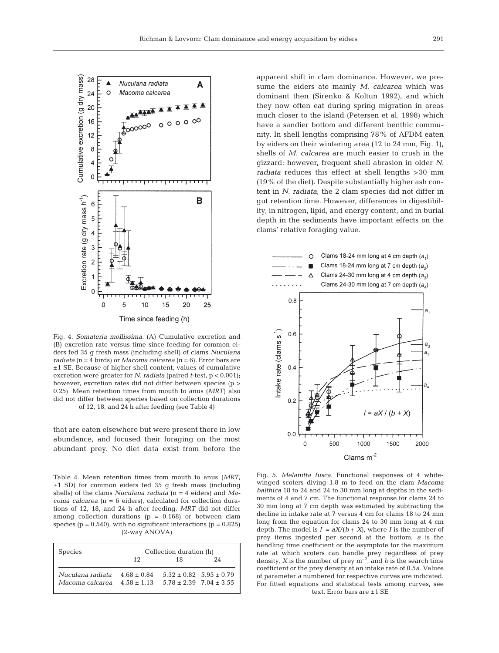

Fig. 4. *Somateria mollissima.* (A) Cumulative excretion and (B) excretion rate versus time since feeding for common eiders fed 35 g fresh mass (including shell) of clams *Nuculana radiata* (n = 4 birds) or *Macoma calcarea* (n = 6). Error bars are ±1 SE. Because of higher shell content, values of cumulative excretion were greater for *N. radiata* (paired *t*-test, p < 0.001); however, excretion rates did not differ between species (p  $>$ 0.25). Mean retention times from mouth to anus (*MRT*) also did not differ between species based on collection durations of 12, 18, and 24 h after feeding (see Table 4)

that are eaten elsewhere but were present there in low abundance, and focused their foraging on the most abundant prey. No diet data exist from before the

Table 4. Mean retention times from mouth to anus (*MRT*, ±1 SD) for common eiders fed 35 g fresh mass (including shells) of the clams *Nuculana radiata* (n = 4 eiders) and *Macoma calcarea* (n = 6 eiders), calculated for collection durations of 12, 18, and 24 h after feeding. *MRT* did not differ among collection durations ( $p = 0.168$ ) or between clam species ( $p = 0.540$ ), with no significant interactions ( $p = 0.825$ ) (2-way ANOVA)

| <b>Species</b>                                                    | Collection duration (h) |                                                                |    |  |  |  |  |
|-------------------------------------------------------------------|-------------------------|----------------------------------------------------------------|----|--|--|--|--|
|                                                                   | 12                      | 18                                                             | 24 |  |  |  |  |
| Nuculana radiata $4.68 \pm 0.84$<br>Macoma calcarea $4.58 + 1.13$ |                         | $5.32 \pm 0.82$ $5.95 \pm 0.79$<br>$5.78 + 2.39$ $7.04 + 3.55$ |    |  |  |  |  |

apparent shift in clam dominance. However, we presume the eiders ate mainly *M. calcarea* which was dominant then (Sirenko & Koltun 1992), and which they now often eat during spring migration in areas much closer to the island (Petersen et al. 1998) which have a sandier bottom and different benthic community. In shell lengths comprising 78% of AFDM eaten by eiders on their wintering area (12 to 24 mm, Fig. 1), shells of *M. calcarea* are much easier to crush in the gizzard; however, frequent shell abrasion in older *N. radiata* reduces this effect at shell lengths >30 mm (19% of the diet). Despite substantially higher ash content in *N. radiata*, the 2 clam species did not differ in gut retention time. However, differences in digestibility, in nitrogen, lipid, and energy content, and in burial depth in the sediments have important effects on the clams' relative foraging value.



Fig. 5. *Melanitta fusca.* Functional responses of 4 whitewinged scoters diving 1.8 m to feed on the clam *Macoma balthica* 18 to 24 and 24 to 30 mm long at depths in the sediments of 4 and 7 cm. The functional response for clams 24 to 30 mm long at 7 cm depth was estimated by subtracting the decline in intake rate at 7 versus 4 cm for clams 18 to 24 mm long from the equation for clams 24 to 30 mm long at 4 cm depth. The model is  $I = aX/(b+X)$ , where *I* is the number of prey items ingested per second at the bottom, *a* is the handling time coefficient or the asymptote for the maximum rate at which scoters can handle prey regardless of prey density, *X* is the number of prey  $m^{-2}$ , and *b* is the search time coefficient or the prey density at an intake rate of 0.5*a*. Values of parameter *a* numbered for respective curves are indicated. For fitted equations and statistical tests among curves, see text. Error bars are ±1 SE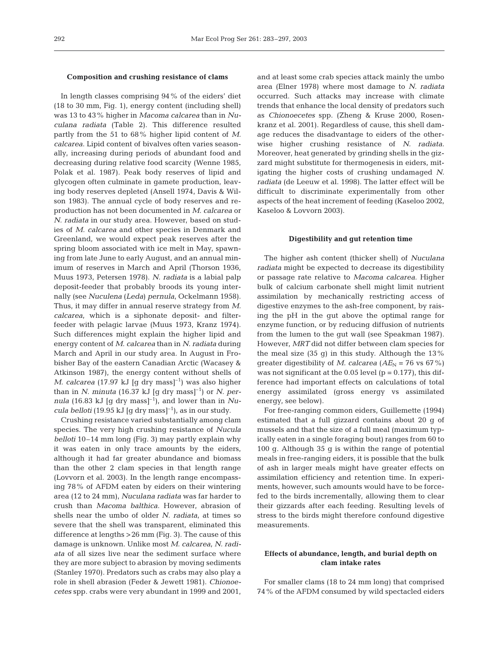#### **Composition and crushing resistance of clams**

In length classes comprising 94% of the eiders' diet (18 to 30 mm, Fig. 1), energy content (including shell) was 13 to 43% higher in *Macoma calcarea* than in *Nuculana radiata* (Table 2). This difference resulted partly from the 51 to 68% higher lipid content of *M. calcarea*. Lipid content of bivalves often varies seasonally, increasing during periods of abundant food and decreasing during relative food scarcity (Wenne 1985, Polak et al. 1987). Peak body reserves of lipid and glycogen often culminate in gamete production, leaving body reserves depleted (Ansell 1974, Davis & Wilson 1983). The annual cycle of body reserves and reproduction has not been documented in *M. calcarea* or *N. radiata* in our study area. However, based on studies of *M. calcarea* and other species in Denmark and Greenland, we would expect peak reserves after the spring bloom associated with ice melt in May, spawning from late June to early August, and an annual minimum of reserves in March and April (Thorson 1936, Muus 1973, Petersen 1978). *N. radiata* is a labial palp deposit-feeder that probably broods its young internally (see *Nuculena* (*Leda*) *pernula*, Ockelmann 1958). Thus, it may differ in annual reserve strategy from *M. calcarea*, which is a siphonate deposit- and filterfeeder with pelagic larvae (Muus 1973, Kranz 1974). Such differences might explain the higher lipid and energy content of *M. calcarea* than in *N. radiata* during March and April in our study area. In August in Frobisher Bay of the eastern Canadian Arctic (Wacasey & Atkinson 1987), the energy content without shells of *M. calcarea* (17.97 kJ [g dry mass]<sup>-1</sup>) was also higher than in *N. minuta* (16.37 kJ [g dry mass]<sup>-1</sup>) or *N. per*nula (16.83 kJ [g dry mass]<sup>-1</sup>), and lower than in *Nucula belloti* (19.95 kJ [g dry mass]<sup>-1</sup>), as in our study.

Crushing resistance varied substantially among clam species. The very high crushing resistance of *Nucula belloti* 10–14 mm long (Fig. 3) may partly explain why it was eaten in only trace amounts by the eiders, although it had far greater abundance and biomass than the other 2 clam species in that length range (Lovvorn et al. 2003). In the length range encompassing 78% of AFDM eaten by eiders on their wintering area (12 to 24 mm), *Nuculana radiata* was far harder to crush than *Macoma balthica*. However, abrasion of shells near the umbo of older *N. radiata*, at times so severe that the shell was transparent, eliminated this difference at lengths >26 mm (Fig. 3). The cause of this damage is unknown. Unlike most *M. calcarea*, *N. radiata* of all sizes live near the sediment surface where they are more subject to abrasion by moving sediments (Stanley 1970). Predators such as crabs may also play a role in shell abrasion (Feder & Jewett 1981). *Chionoecetes* spp. crabs were very abundant in 1999 and 2001, and at least some crab species attack mainly the umbo area (Elner 1978) where most damage to *N. radiata* occurred. Such attacks may increase with climate trends that enhance the local density of predators such as *Chionoecetes* spp. (Zheng & Kruse 2000, Rosenkranz et al. 2001). Regardless of cause, this shell damage reduces the disadvantage to eiders of the otherwise higher crushing resistance of *N. radiata.* Moreover, heat generated by grinding shells in the gizzard might substitute for thermogenesis in eiders, mitigating the higher costs of crushing undamaged *N. radiata* (de Leeuw et al. 1998). The latter effect will be difficult to discriminate experimentally from other aspects of the heat increment of feeding (Kaseloo 2002, Kaseloo & Lovvorn 2003).

#### **Digestibility and gut retention time**

The higher ash content (thicker shell) of *Nuculana radiata* might be expected to decrease its digestibility or passage rate relative to *Macoma calcarea*. Higher bulk of calcium carbonate shell might limit nutrient assimilation by mechanically restricting access of digestive enzymes to the ash-free component, by raising the pH in the gut above the optimal range for enzyme function, or by reducing diffusion of nutrients from the lumen to the gut wall (see Speakman 1987). However, *MRT* did not differ between clam species for the meal size  $(35 \text{ q})$  in this study. Although the  $13\%$ greater digestibility of *M. calcarea* ( $AE_N$  = 76 vs 67%) was not significant at the 0.05 level ( $p = 0.177$ ), this difference had important effects on calculations of total energy assimilated (gross energy vs assimilated energy, see below).

For free-ranging common eiders, Guillemette (1994) estimated that a full gizzard contains about 20 g of mussels and that the size of a full meal (maximum typically eaten in a single foraging bout) ranges from 60 to 100 g. Although 35 g is within the range of potential meals in free-ranging eiders, it is possible that the bulk of ash in larger meals might have greater effects on assimilation efficiency and retention time. In experiments, however, such amounts would have to be forcefed to the birds incrementally, allowing them to clear their gizzards after each feeding. Resulting levels of stress to the birds might therefore confound digestive measurements.

# **Effects of abundance, length, and burial depth on clam intake rates**

For smaller clams (18 to 24 mm long) that comprised 74% of the AFDM consumed by wild spectacled eiders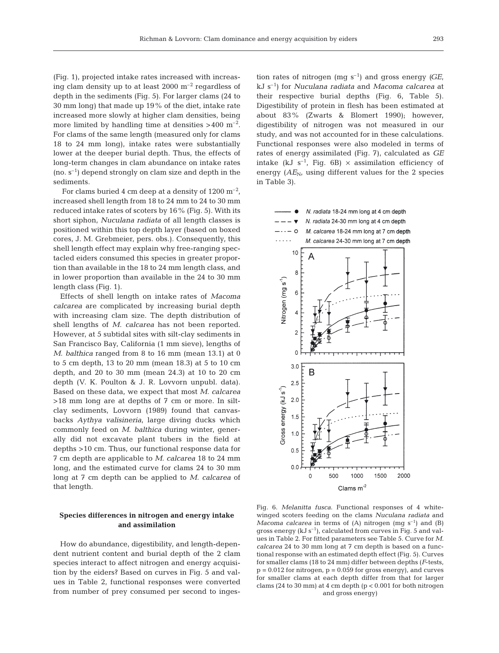(Fig. 1), projected intake rates increased with increasing clam density up to at least  $2000 \text{ m}^{-2}$  regardless of depth in the sediments (Fig. 5). For larger clams (24 to 30 mm long) that made up 19% of the diet, intake rate increased more slowly at higher clam densities, being more limited by handling time at densities  $>400$  m<sup>-2</sup>. For clams of the same length (measured only for clams 18 to 24 mm long), intake rates were substantially lower at the deeper burial depth. Thus, the effects of long-term changes in clam abundance on intake rates  $(no. s<sup>-1</sup>)$  depend strongly on clam size and depth in the sediments.

For clams buried 4 cm deep at a density of  $1200 \text{ m}^{-2}$ , increased shell length from 18 to 24 mm to 24 to 30 mm reduced intake rates of scoters by 16% (Fig. 5). With its short siphon, *Nuculana radiata* of all length classes is positioned within this top depth layer (based on boxed cores, J. M. Grebmeier, pers. obs.). Consequently, this shell length effect may explain why free-ranging spectacled eiders consumed this species in greater proportion than available in the 18 to 24 mm length class, and in lower proportion than available in the 24 to 30 mm length class (Fig. 1).

Effects of shell length on intake rates of *Macoma calcarea* are complicated by increasing burial depth with increasing clam size. The depth distribution of shell lengths of *M. calcarea* has not been reported. However, at 5 subtidal sites with silt-clay sediments in San Francisco Bay, California (1 mm sieve), lengths of *M. balthica* ranged from 8 to 16 mm (mean 13.1) at 0 to 5 cm depth, 13 to 20 mm (mean 18.3) at 5 to 10 cm depth, and 20 to 30 mm (mean 24.3) at 10 to 20 cm depth (V. K. Poulton & J. R. Lovvorn unpubl. data). Based on these data, we expect that most *M. calcarea* >18 mm long are at depths of 7 cm or more. In siltclay sediments, Lovvorn (1989) found that canvasbacks *Aythya valisineria*, large diving ducks which commonly feed on *M. balthica* during winter, generally did not excavate plant tubers in the field at depths >10 cm. Thus, our functional response data for 7 cm depth are applicable to *M. calcarea* 18 to 24 mm long, and the estimated curve for clams 24 to 30 mm long at 7 cm depth can be applied to *M. calcarea* of that length.

## **Species differences in nitrogen and energy intake and assimilation**

How do abundance, digestibility, and length-dependent nutrient content and burial depth of the 2 clam species interact to affect nitrogen and energy acquisition by the eiders? Based on curves in Fig. 5 and values in Table 2, functional responses were converted from number of prey consumed per second to inges-

tion rates of nitrogen (mg  $s^{-1}$ ) and gross energy *(GE,* kJ s–1) for *Nuculana radiata* and *Macoma calcarea* at their respective burial depths (Fig. 6, Table 5). Digestibility of protein in flesh has been estimated at about 83% (Zwarts & Blomert 1990); however, digestibility of nitrogen was not measured in our study, and was not accounted for in these calculations. Functional responses were also modeled in terms of rates of energy assimilated (Fig. 7), calculated as *GE* intake (kJ  $s^{-1}$ , Fig. 6B)  $\times$  assimilation efficiency of energy  $(AE_N)$ , using different values for the 2 species in Table 3).



Fig. 6. *Melanitta fusca*. Functional responses of 4 whitewinged scoters feeding on the clams *Nuculana radiata* and *Macoma calcarea* in terms of (A) nitrogen (mg s<sup>-1</sup>) and (B) gross energy (kJ  $s^{-1}$ ), calculated from curves in Fig. 5 and values in Table 2. For fitted parameters see Table 5. Curve for *M. calcarea* 24 to 30 mm long at 7 cm depth is based on a functional response with an estimated depth effect (Fig. 5). Curves for smaller clams (18 to 24 mm) differ between depths (*F*-tests,  $p = 0.012$  for nitrogen,  $p = 0.059$  for gross energy), and curves for smaller clams at each depth differ from that for larger clams (24 to 30 mm) at 4 cm depth ( $p < 0.001$  for both nitrogen and gross energy)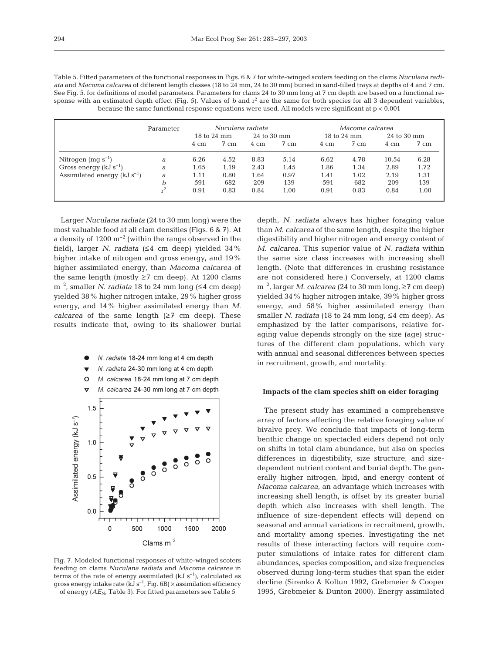| Table 5. Fitted parameters of the functional responses in Figs. 6 & 7 for white-winged scoters feeding on the clams Nuculana radi-  |
|-------------------------------------------------------------------------------------------------------------------------------------|
| ata and Macoma calcarea of different length classes (18 to 24 mm, 24 to 30 mm) buried in sand-filled trays at depths of 4 and 7 cm. |
| See Fig. 5, for definitions of model parameters. Parameters for clams 24 to 30 mm long at 7 cm depth are based on a functional re-  |
| sponse with an estimated depth effect (Fig. 5). Values of b and $r^2$ are the same for both species for all 3 dependent variables,  |
| because the same functional response equations were used. All models were significant at $p < 0.001$                                |

|                                    | Parameter | Nuculana radiata |      |             | Macoma calcarea |             |                |             |                |
|------------------------------------|-----------|------------------|------|-------------|-----------------|-------------|----------------|-------------|----------------|
|                                    |           | 18 to 24 mm      |      | 24 to 30 mm |                 | 18 to 24 mm |                | 24 to 30 mm |                |
|                                    |           | 4 cm             | 7 cm | 4 cm        | $7 \text{ cm}$  | 4 cm        | $7 \text{ cm}$ | 4 cm        | $7 \text{ cm}$ |
| Nitrogen $(mg s^{-1})$             | a         | 6.26             | 4.52 | 8.83        | 5.14            | 6.62        | 4.78           | 10.54       | 6.28           |
| Gross energy ( $kJ s^{-1}$ )       | a         | 1.65             | 1.19 | 2.43        | 1.45            | 1.86        | 1.34           | 2.89        | 1.72           |
| Assimilated energy ( $kJ s^{-1}$ ) | a         | 1.11             | 0.80 | 1.64        | 0.97            | 1.41        | 1.02           | 2.19        | 1.31           |
|                                    | h         | 591              | 682  | 209         | 139             | 591         | 682            | 209         | 139            |
|                                    | r4        | 0.91             | 0.83 | 0.84        | 1.00            | 0.91        | 0.83           | 0.84        | 1.00           |

Larger *Nuculana radiata* (24 to 30 mm long) were the most valuable food at all clam densities (Figs. 6 & 7). At a density of  $1200 \text{ m}^{-2}$  (within the range observed in the field), larger *N. radiata* ( $\leq 4$  cm deep) yielded 34% higher intake of nitrogen and gross energy, and 19% higher assimilated energy, than *Macoma calcarea* of the same length (mostly  $\geq$ 7 cm deep). At 1200 clams  $m^{-2}$ , smaller *N. radiata* 18 to 24 mm long ( $\leq$ 4 cm deep) yielded 38% higher nitrogen intake, 29% higher gross energy, and 14% higher assimilated energy than *M. calcarea* of the same length  $(≥7$  cm deep). These results indicate that, owing to its shallower burial



Fig. 7. Modeled functional responses of white-winged scoters feeding on clams *Nuculana radiata* and *Macoma calcarea* in terms of the rate of energy assimilated (kJ  $s^{-1}$ ), calculated as gross energy intake rate (kJ  $s^{-1}$ , Fig. 6B)  $\times$  assimilation efficiency of energy (AE<sub>N</sub>, Table 3). For fitted parameters see Table 5

depth, *N. radiata* always has higher foraging value than *M. calcarea* of the same length, despite the higher digestibility and higher nitrogen and energy content of *M. calcarea*. This superior value of *N. radiata* within the same size class increases with increasing shell length. (Note that differences in crushing resistance are not considered here.) Conversely, at 1200 clams  $m^{-2}$ , larger *M. calcarea* (24 to 30 mm long,  $\geq$ 7 cm deep) yielded 34% higher nitrogen intake, 39% higher gross energy, and 58% higher assimilated energy than smaller *N. radiata* (18 to 24 mm long,  $\leq$ 4 cm deep). As emphasized by the latter comparisons, relative foraging value depends strongly on the size (age) structures of the different clam populations, which vary with annual and seasonal differences between species in recruitment, growth, and mortality.

#### **Impacts of the clam species shift on eider foraging**

The present study has examined a comprehensive array of factors affecting the relative foraging value of bivalve prey. We conclude that impacts of long-term benthic change on spectacled eiders depend not only on shifts in total clam abundance, but also on species differences in digestibility, size structure, and sizedependent nutrient content and burial depth. The generally higher nitrogen, lipid, and energy content of *Macoma calcarea*, an advantage which increases with increasing shell length, is offset by its greater burial depth which also increases with shell length. The influence of size-dependent effects will depend on seasonal and annual variations in recruitment, growth, and mortality among species. Investigating the net results of these interacting factors will require computer simulations of intake rates for different clam abundances, species composition, and size frequencies observed during long-term studies that span the eider decline (Sirenko & Koltun 1992, Grebmeier & Cooper 1995, Grebmeier & Dunton 2000). Energy assimilated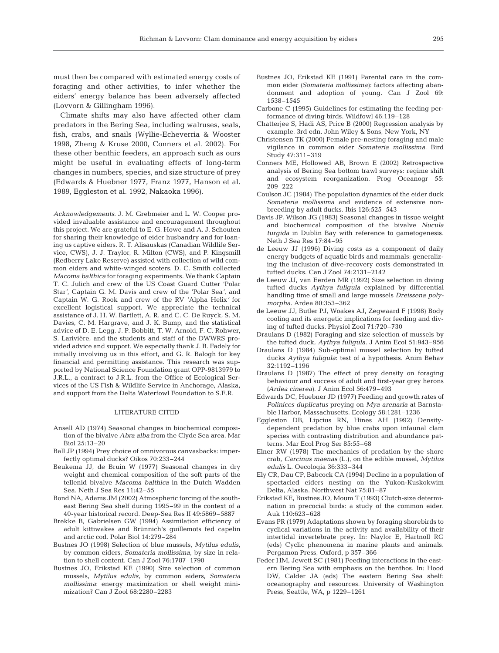must then be compared with estimated energy costs of foraging and other activities, to infer whether the eiders' energy balance has been adversely affected (Lovvorn & Gillingham 1996).

Climate shifts may also have affected other clam predators in the Bering Sea, including walruses, seals, fish, crabs, and snails (Wyllie-Echeverria & Wooster 1998, Zheng & Kruse 2000, Conners et al. 2002). For these other benthic feeders, an approach such as ours might be useful in evaluating effects of long-term changes in numbers, species, and size structure of prey (Edwards & Huebner 1977, Franz 1977, Hanson et al. 1989, Eggleston et al. 1992, Nakaoka 1996).

*Acknowledgements*. J. M. Grebmeier and L. W. Cooper provided invaluable assistance and encouragement throughout this project. We are grateful to E. G. Howe and A. J. Schouten for sharing their knowledge of eider husbandry and for loaning us captive eiders. R. T. Alisauskas (Canadian Wildlife Service, CWS), J. J. Traylor, R. Milton (CWS), and P. Kingsmill (Redberry Lake Reserve) assisted with collection of wild common eiders and white-winged scoters. D. C. Smith collected *Macoma balthica* for foraging experiments. We thank Captain T. C. Julich and crew of the US Coast Guard Cutter 'Polar Star*'*, Captain G. M. Davis and crew of the 'Polar Sea*'*, and Captain W. G. Rook and crew of the RV 'Alpha Helix*'* for excellent logistical support. We appreciate the technical assistance of J. H. W. Bartlett, A. R. and C. C. De Ruyck, S. M. Davies, C. M. Hargrave, and J. K. Bump, and the statistical advice of D. E. Legg. J. P. Bobbitt, T. W. Arnold, F. C. Rohwer, S. Larivière, and the students and staff of the DWWRS provided advice and support. We especially thank J. B. Fadely for initially involving us in this effort, and G. R. Balogh for key financial and permitting assistance. This research was supported by National Science Foundation grant OPP-9813979 to J.R.L., a contract to J.R.L. from the Office of Ecological Services of the US Fish & Wildlife Service in Anchorage, Alaska, and support from the Delta Waterfowl Foundation to S.E.R.

## LITERATURE CITED

- Ansell AD (1974) Seasonal changes in biochemical composition of the bivalve *Abra alba* from the Clyde Sea area. Mar Biol 25:13–20
- Ball JP (1994) Prey choice of omnivorous canvasbacks: imperfectly optimal ducks? Oikos 70:233–244
- Beukema JJ, de Bruin W (1977) Seasonal changes in dry weight and chemical composition of the soft parts of the tellenid bivalve *Macoma balthica* in the Dutch Wadden Sea. Neth J Sea Res 11:42–55
- Bond NA, Adams JM (2002) Atmospheric forcing of the southeast Bering Sea shelf during 1995–99 in the context of a 40-year historical record. Deep-Sea Res II 49:5869–5887
- Brekke B, Gabrielsen GW (1994) Assimilation efficiency of adult kittiwakes and Brünnich's guillemots fed capelin and arctic cod. Polar Biol 14:279–284
- Bustnes JO (1998) Selection of blue mussels, *Mytilus edulis*, by common eiders, *Somateria mollissima*, by size in relation to shell content. Can J Zool 76:1787–1790
- Bustnes JO, Erikstad KE (1990) Size selection of common mussels, *Mytilus edulis*, by common eiders, *Somateria mollissima*: energy maximization or shell weight minimization? Can J Zool 68:2280–2283
- Bustnes JO, Erikstad KE (1991) Parental care in the common eider *(Somateria mollissima)*: factors affecting abandonment and adoption of young. Can J Zool 69: 1538–1545
- Carbone C (1995) Guidelines for estimating the feeding performance of diving birds. Wildfowl 46:119–128
- Chatterjee S, Hadi AS, Price B (2000) Regression analysis by example, 3rd edn. John Wiley & Sons, New York, NY
- Christensen TK (2000) Female pre-nesting foraging and male vigilance in common eider *Somateria mollissima*. Bird Study 47:311–319
- Conners ME, Hollowed AB, Brown E (2002) Retrospective analysis of Bering Sea bottom trawl surveys: regime shift and ecosystem reorganization. Prog Oceanogr 55: 209–222
- Coulson JC (1984) The population dynamics of the eider duck *Somateria mollissima* and evidence of extensive nonbreeding by adult ducks. Ibis 126:525–543
- Davis JP, Wilson JG (1983) Seasonal changes in tissue weight and biochemical composition of the bivalve *Nucula turgida* in Dublin Bay with reference to gametogenesis. Neth J Sea Res 17:84–95
- de Leeuw JJ (1996) Diving costs as a component of daily energy budgets of aquatic birds and mammals: generalizing the inclusion of dive-recovery costs demonstrated in tufted ducks. Can J Zool 74:2131–2142
- de Leeuw JJ, van Eerden MR (1992) Size selection in diving tufted ducks *Aythya fuligula* explained by differential handling time of small and large mussels *Dreissena polymorpha*. Ardea 80:353–362
- de Leeuw JJ, Butler PJ, Woakes AJ, Zegwaard F (1998) Body cooling and its energetic implications for feeding and diving of tufted ducks. Physiol Zool 71:720–730
- Draulans D (1982) Foraging and size selection of mussels by the tufted duck, *Aythya fuligula*. J Anim Ecol 51:943–956
- Draulans D (1984) Sub-optimal mussel selection by tufted ducks *Aythya fuligula*: test of a hypothesis. Anim Behav 32:1192–1196
- Draulans D (1987) The effect of prey density on foraging behaviour and success of adult and first-year grey herons *(Ardea cinerea)*. J Anim Ecol 56:479–493
- Edwards DC, Huebner JD (1977) Feeding and growth rates of *Polinices duplicatus* preying on *Mya arenaria* at Barnstable Harbor, Massachusetts. Ecology 58:1281–1236
- Eggleston DB, Lipcius RN, Hines AH (1992) Densitydependent predation by blue crabs upon infaunal clam species with contrasting distribution and abundance patterns. Mar Ecol Prog Ser 85:55–68
- Elner RW (1978) The mechanics of predation by the shore crab, *Carcinus maenas* (L.), on the edible mussel, *Mytilus edulis* L. Oecologia 36:333–344
- Ely CR, Dau CP, Babcock CA (1994) Decline in a population of spectacled eiders nesting on the Yukon-Kuskokwim Delta, Alaska. Northwest Nat 75:81–87
- Erikstad KE, Bustnes JO, Moum T (1993) Clutch-size determination in precocial birds: a study of the common eider. Auk 110:623–628
- Evans PR (1979) Adaptations shown by foraging shorebirds to cyclical variations in the activity and availability of their intertidal invertebrate prey. In: Naylor E, Hartnoll RG (eds) Cyclic phenomena in marine plants and animals. Pergamon Press, Oxford, p 357–366
- Feder HM, Jewett SC (1981) Feeding interactions in the eastern Bering Sea with emphasis on the benthos. In: Hood DW, Calder JA (eds) The eastern Bering Sea shelf: oceanography and resources. University of Washington Press, Seattle, WA, p 1229–1261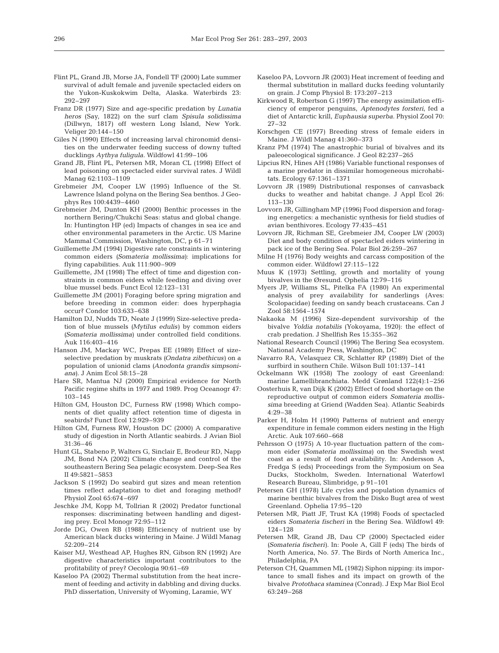- Flint PL, Grand JB, Morse JA, Fondell TF (2000) Late summer survival of adult female and juvenile spectacled eiders on the Yukon-Kuskokwim Delta, Alaska. Waterbirds 23: 292–297
- Franz DR (1977) Size and age-specific predation by *Lunatia heros* (Say, 1822) on the surf clam *Spisula solidissima* (Dillwyn, 1817) off western Long Island, New York. Veliger 20:144–150
- Giles N (1990) Effects of increasing larval chironomid densities on the underwater feeding success of downy tufted ducklings *Aythya fuligula*. Wildfowl 41:99–106
- Grand JB, Flint PL, Petersen MR, Moran CL (1998) Effect of lead poisoning on spectacled eider survival rates. J Wildl Manag 62:1103–1109
- Grebmeier JM, Cooper LW (1995) Influence of the St. Lawrence Island polyna on the Bering Sea benthos. J Geophys Res 100:4439–4460
- Grebmeier JM, Dunton KH (2000) Benthic processes in the northern Bering/Chukchi Seas: status and global change. In: Huntington HP (ed) Impacts of changes in sea ice and other environmental parameters in the Arctic. US Marine Mammal Commission, Washington, DC, p 61–71
- Guillemette JM (1994) Digestive rate constraints in wintering common eiders *(Somateria mollissima)*: implications for flying capabilities. Auk 111:900–909
- Guillemette, JM (1998) The effect of time and digestion constraints in common eiders while feeding and diving over blue mussel beds. Funct Ecol 12:123–131
- Guillemette JM (2001) Foraging before spring migration and before breeding in common eider: does hyperphagia occur? Condor 103:633–638
- Hamilton DJ, Nudds TD, Neate J (1999) Size-selective predation of blue mussels *(Mytilus edulis)* by common eiders *(Somateria mollissima)* under controlled field conditions. Auk 116:403–416
- Hanson JM, Mackay WC, Prepas EE (1989) Effect of sizeselective predation by muskrats *(Ondatra zibethicus)* on a population of unionid clams *(Anodonta grandis simpsoniana)*. J Anim Ecol 58:15–28
- Hare SR, Mantua NJ (2000) Empirical evidence for North Pacific regime shifts in 1977 and 1989. Prog Oceanogr 47: 103–145
- Hilton GM, Houston DC, Furness RW (1998) Which components of diet quality affect retention time of digesta in seabirds? Funct Ecol 12:929–939
- Hilton GM, Furness RW, Houston DC (2000) A comparative study of digestion in North Atlantic seabirds. J Avian Biol 31:36–46
- Hunt GL, Stabeno P, Walters G, Sinclair E, Brodeur RD, Napp JM, Bond NA (2002) Climate change and control of the southeastern Bering Sea pelagic ecosystem. Deep-Sea Res II 49:5821–5853
- Jackson S (1992) Do seabird gut sizes and mean retention times reflect adaptation to diet and foraging method? Physiol Zool 65:674–697
- Jeschke JM, Kopp M, Tollrian R (2002) Predator functional responses: discriminating between handling and digesting prey. Ecol Monogr 72:95–112
- Jorde DG, Owen RB (1988) Efficiency of nutrient use by American black ducks wintering in Maine. J Wildl Manag 52:209–214
- Kaiser MJ, Westhead AP, Hughes RN, Gibson RN (1992) Are digestive characteristics important contributors to the profitability of prey? Oecologia 90:61–69
- Kaseloo PA (2002) Thermal substitution from the heat increment of feeding and activity in dabbling and diving ducks. PhD dissertation, University of Wyoming, Laramie, WY
- Kaseloo PA, Lovvorn JR (2003) Heat increment of feeding and thermal substitution in mallard ducks feeding voluntarily on grain. J Comp Physiol B: 173:207–213
- Kirkwood R, Robertson G (1997) The energy assimilation efficiency of emperor penguins, *Aptenodytes forsteri*, fed a diet of Antarctic krill, *Euphausia superba*. Physiol Zool 70: 27–32
- Korschgen CE (1977) Breeding stress of female eiders in Maine. J Wildl Manag 41:360–373
- Kranz PM (1974) The anastrophic burial of bivalves and its paleoecological significance. J Geol 82:237–265
- Lipcius RN, Hines AH (1986) Variable functional responses of a marine predator in dissimilar homogeneous microhabitats. Ecology 67:1361–1371
- Lovvorn JR (1989) Distributional responses of canvasback ducks to weather and habitat change. J Appl Ecol 26: 113–130
- Lovvorn JR, Gillingham MP (1996) Food dispersion and foraging energetics: a mechanistic synthesis for field studies of avian benthivores. Ecology 77:435–451
- Lovvorn JR, Richman SE, Grebmeier JM, Cooper LW (2003) Diet and body condition of spectacled eiders wintering in pack ice of the Bering Sea. Polar Biol 26:259–267
- Milne H (1976) Body weights and carcass composition of the common eider. Wildfowl 27:115–122
- Muus K (1973) Settling, growth and mortality of young bivalves in the Øresund. Ophelia 12:79–116
- Myers JP, Williams SL, Pitelka FA (1980) An experimental analysis of prey availability for sanderlings (Aves: Scolopacidae) feeding on sandy beach crustaceans. Can J Zool 58:1564–1574
- Nakaoka M (1996) Size-dependent survivorship of the bivalve *Yoldia notabilis* (Yokoyama, 1920): the effect of crab predation. J Shellfish Res 15:355–362
- National Research Council (1996) The Bering Sea ecosystem. National Academy Press, Washington, DC
- Navarro RA, Velasquez CR, Schlatter RP (1989) Diet of the surfbird in southern Chile. Wilson Bull 101:137–141
- Ockelmann WK (1958) The zoology of east Greenland: marine Lamellibranchiata. Medd Grønland 122(4):1–256
- Oosterhuis R, van Dijk K (2002) Effect of food shortage on the reproductive output of common eiders *Somateria mollissima* breeding at Griend (Wadden Sea). Atlantic Seabirds 4:29–38
- Parker H, Holm H (1990) Patterns of nutrient and energy expenditure in female common eiders nesting in the High Arctic. Auk 107:660–668
- Pehrsson O (1975) A 10-year fluctuation pattern of the common eider *(Somateria mollissima)* on the Swedish west coast as a result of food availability. In: Andersson A, Fredga S (eds) Proceedings from the Symposium on Sea Ducks, Stockholm, Sweden. International Waterfowl Research Bureau, Slimbridge, p 91–101
- Petersen GH (1978) Life cycles and population dynamics of marine benthic bivalves from the Disko Bugt area of west Greenland. Ophelia 17:95–120
- Petersen MR, Piatt JF, Trust KA (1998) Foods of spectacled eiders *Somateria fischeri* in the Bering Sea. Wildfowl 49: 124–128
- Petersen MR, Grand JB, Dau CP (2000) Spectacled eider *(Somateria fischeri)*. In: Poole A, Gill F (eds) The birds of North America, No. 57. The Birds of North America Inc., Philadelphia, PA
- Peterson CH, Quammen ML (1982) Siphon nipping: its importance to small fishes and its impact on growth of the bivalve *Protothaca staminea* (Conrad). J Exp Mar Biol Ecol 63:249–268